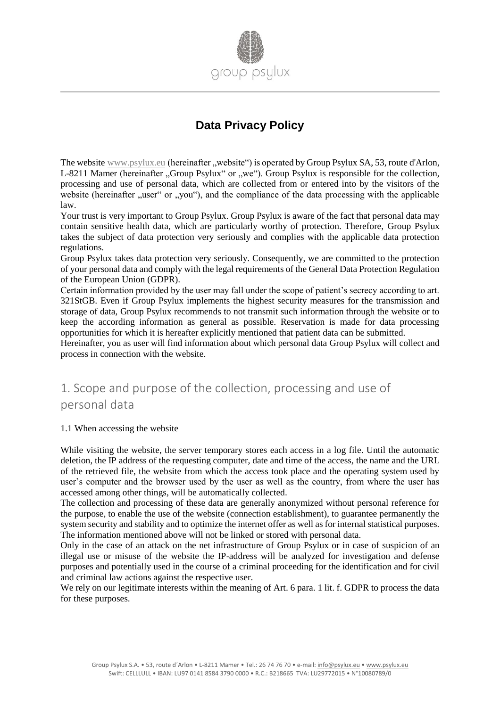

# **Data Privacy Policy**

The website www.psylux.eu (hereinafter "website") is operated by Group Psylux SA, 53, route d'Arlon, L-8211 Mamer (hereinafter "Group Psylux" or "we"). Group Psylux is responsible for the collection, processing and use of personal data, which are collected from or entered into by the visitors of the website (hereinafter "user" or "you"), and the compliance of the data processing with the applicable law.

Your trust is very important to Group Psylux. Group Psylux is aware of the fact that personal data may contain sensitive health data, which are particularly worthy of protection. Therefore, Group Psylux takes the subject of data protection very seriously and complies with the applicable data protection regulations.

Group Psylux takes data protection very seriously. Consequently, we are committed to the protection of your personal data and comply with the legal requirements of the General Data Protection Regulation of the European Union (GDPR).

Certain information provided by the user may fall under the scope of patient's secrecy according to art. 321StGB. Even if Group Psylux implements the highest security measures for the transmission and storage of data, Group Psylux recommends to not transmit such information through the website or to keep the according information as general as possible. Reservation is made for data processing opportunities for which it is hereafter explicitly mentioned that patient data can be submitted.

Hereinafter, you as user will find information about which personal data Group Psylux will collect and process in connection with the website.

# 1. Scope and purpose of the collection, processing and use of personal data

1.1 When accessing the website

While visiting the website, the server temporary stores each access in a log file. Until the automatic deletion, the IP address of the requesting computer, date and time of the access, the name and the URL of the retrieved file, the website from which the access took place and the operating system used by user's computer and the browser used by the user as well as the country, from where the user has accessed among other things, will be automatically collected.

The collection and processing of these data are generally anonymized without personal reference for the purpose, to enable the use of the website (connection establishment), to guarantee permanently the system security and stability and to optimize the internet offer as well as for internal statistical purposes. The information mentioned above will not be linked or stored with personal data.

Only in the case of an attack on the net infrastructure of Group Psylux or in case of suspicion of an illegal use or misuse of the website the IP-address will be analyzed for investigation and defense purposes and potentially used in the course of a criminal proceeding for the identification and for civil and criminal law actions against the respective user.

We rely on our legitimate interests within the meaning of Art. 6 para. 1 lit. f. GDPR to process the data for these purposes.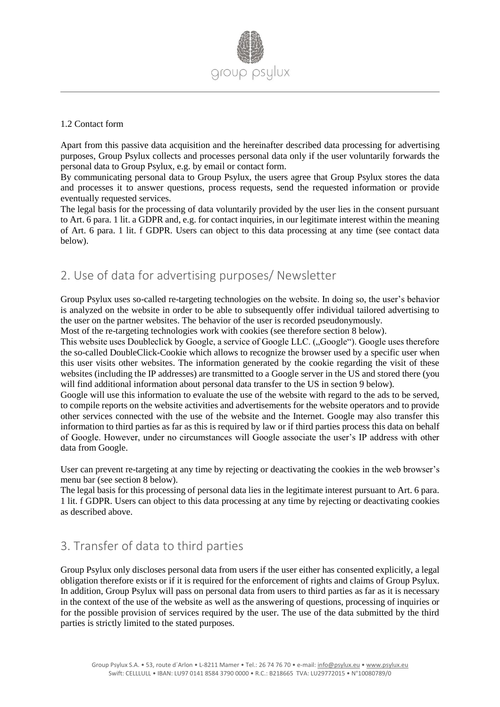

#### 1.2 Contact form

Apart from this passive data acquisition and the hereinafter described data processing for advertising purposes, Group Psylux collects and processes personal data only if the user voluntarily forwards the personal data to Group Psylux, e.g. by email or contact form.

By communicating personal data to Group Psylux, the users agree that Group Psylux stores the data and processes it to answer questions, process requests, send the requested information or provide eventually requested services.

The legal basis for the processing of data voluntarily provided by the user lies in the consent pursuant to Art. 6 para. 1 lit. a GDPR and, e.g. for contact inquiries, in our legitimate interest within the meaning of Art. 6 para. 1 lit. f GDPR. Users can object to this data processing at any time (see contact data below).

## 2. Use of data for advertising purposes/ Newsletter

Group Psylux uses so-called re-targeting technologies on the website. In doing so, the user's behavior is analyzed on the website in order to be able to subsequently offer individual tailored advertising to the user on the partner websites. The behavior of the user is recorded pseudonymously.

Most of the re-targeting technologies work with cookies (see therefore section 8 below).

This website uses Doubleclick by Google, a service of Google LLC. ("Google"). Google uses therefore the so-called DoubleClick-Cookie which allows to recognize the browser used by a specific user when this user visits other websites. The information generated by the cookie regarding the visit of these websites (including the IP addresses) are transmitted to a Google server in the US and stored there (you will find additional information about personal data transfer to the US in section 9 below).

Google will use this information to evaluate the use of the website with regard to the ads to be served, to compile reports on the website activities and advertisements for the website operators and to provide other services connected with the use of the website and the Internet. Google may also transfer this information to third parties as far as this is required by law or if third parties process this data on behalf of Google. However, under no circumstances will Google associate the user's IP address with other data from Google.

User can prevent re-targeting at any time by rejecting or deactivating the cookies in the web browser's menu bar (see section 8 below).

The legal basis for this processing of personal data lies in the legitimate interest pursuant to Art. 6 para. 1 lit. f GDPR. Users can object to this data processing at any time by rejecting or deactivating cookies as described above.

# 3. Transfer of data to third parties

Group Psylux only discloses personal data from users if the user either has consented explicitly, a legal obligation therefore exists or if it is required for the enforcement of rights and claims of Group Psylux. In addition, Group Psylux will pass on personal data from users to third parties as far as it is necessary in the context of the use of the website as well as the answering of questions, processing of inquiries or for the possible provision of services required by the user. The use of the data submitted by the third parties is strictly limited to the stated purposes.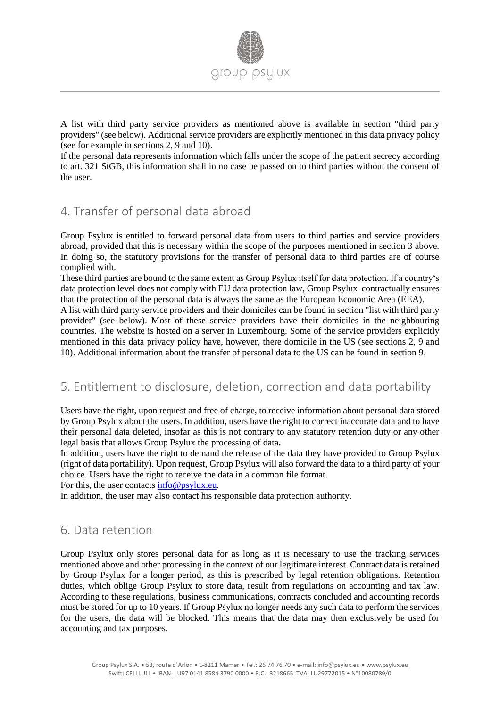

A list with third party service providers as mentioned above is available in section "third party providers" (see below). Additional service providers are explicitly mentioned in this data privacy policy (see for example in sections 2, 9 and 10).

If the personal data represents information which falls under the scope of the patient secrecy according to art. 321 StGB, this information shall in no case be passed on to third parties without the consent of the user.

## 4. Transfer of personal data abroad

Group Psylux is entitled to forward personal data from users to third parties and service providers abroad, provided that this is necessary within the scope of the purposes mentioned in section 3 above. In doing so, the statutory provisions for the transfer of personal data to third parties are of course complied with.

These third parties are bound to the same extent as Group Psylux itself for data protection. If a country's data protection level does not comply with EU data protection law, Group Psylux contractually ensures that the protection of the personal data is always the same as the European Economic Area (EEA).

A list with third party service providers and their domiciles can be found in section "list with third party provider" (see below). Most of these service providers have their domiciles in the neighbouring countries. The website is hosted on a server in Luxembourg. Some of the service providers explicitly mentioned in this data privacy policy have, however, there domicile in the US (see sections 2, 9 and 10). Additional information about the transfer of personal data to the US can be found in section 9.

## 5. Entitlement to disclosure, deletion, correction and data portability

Users have the right, upon request and free of charge, to receive information about personal data stored by Group Psylux about the users. In addition, users have the right to correct inaccurate data and to have their personal data deleted, insofar as this is not contrary to any statutory retention duty or any other legal basis that allows Group Psylux the processing of data.

In addition, users have the right to demand the release of the data they have provided to Group Psylux (right of data portability). Upon request, Group Psylux will also forward the data to a third party of your choice. Users have the right to receive the data in a common file format.

For this, the user contacts [info@psylux.eu.](mailto:info@psylux.eu)

In addition, the user may also contact his responsible data protection authority.

## 6. Data retention

Group Psylux only stores personal data for as long as it is necessary to use the tracking services mentioned above and other processing in the context of our legitimate interest. Contract data is retained by Group Psylux for a longer period, as this is prescribed by legal retention obligations. Retention duties, which oblige Group Psylux to store data, result from regulations on accounting and tax law. According to these regulations, business communications, contracts concluded and accounting records must be stored for up to 10 years. If Group Psylux no longer needs any such data to perform the services for the users, the data will be blocked. This means that the data may then exclusively be used for accounting and tax purposes.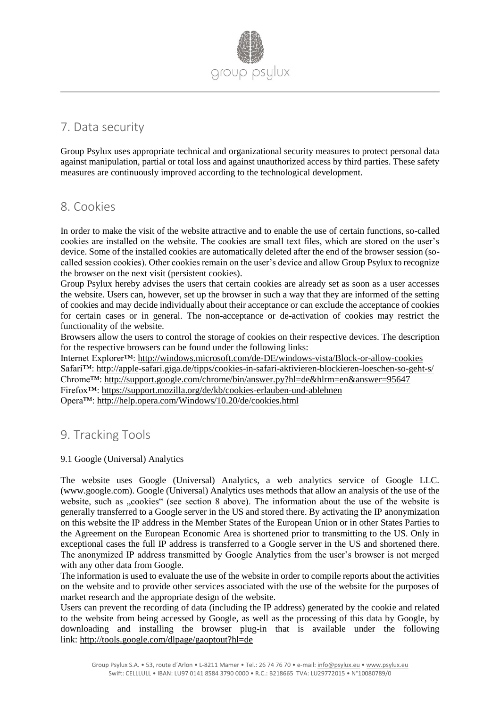

## 7. Data security

Group Psylux uses appropriate technical and organizational security measures to protect personal data against manipulation, partial or total loss and against unauthorized access by third parties. These safety measures are continuously improved according to the technological development.

### 8. Cookies

In order to make the visit of the website attractive and to enable the use of certain functions, so-called cookies are installed on the website. The cookies are small text files, which are stored on the user's device. Some of the installed cookies are automatically deleted after the end of the browser session (socalled session cookies). Other cookies remain on the user's device and allow Group Psylux to recognize the browser on the next visit (persistent cookies).

Group Psylux hereby advises the users that certain cookies are already set as soon as a user accesses the website. Users can, however, set up the browser in such a way that they are informed of the setting of cookies and may decide individually about their acceptance or can exclude the acceptance of cookies for certain cases or in general. The non-acceptance or de-activation of cookies may restrict the functionality of the website.

Browsers allow the users to control the storage of cookies on their respective devices. The description for the respective browsers can be found under the following links:

Internet Explorer™: <http://windows.microsoft.com/de-DE/windows-vista/Block-or-allow-cookies> Safari™: <http://apple-safari.giga.de/tipps/cookies-in-safari-aktivieren-blockieren-loeschen-so-geht-s/> Chrome™: <http://support.google.com/chrome/bin/answer.py?hl=de&hlrm=en&answer=95647> Firefox™: <https://support.mozilla.org/de/kb/cookies-erlauben-und-ablehnen> Opera™: <http://help.opera.com/Windows/10.20/de/cookies.html>

### 9. Tracking Tools

#### 9.1 Google (Universal) Analytics

The website uses Google (Universal) Analytics, a web analytics service of Google LLC. (www.google.com). Google (Universal) Analytics uses methods that allow an analysis of the use of the website, such as ...cookies" (see section 8 above). The information about the use of the website is generally transferred to a Google server in the US and stored there. By activating the IP anonymization on this website the IP address in the Member States of the European Union or in other States Parties to the Agreement on the European Economic Area is shortened prior to transmitting to the US. Only in exceptional cases the full IP address is transferred to a Google server in the US and shortened there. The anonymized IP address transmitted by Google Analytics from the user's browser is not merged with any other data from Google.

The information is used to evaluate the use of the website in order to compile reports about the activities on the website and to provide other services associated with the use of the website for the purposes of market research and the appropriate design of the website.

Users can prevent the recording of data (including the IP address) generated by the cookie and related to the website from being accessed by Google, as well as the processing of this data by Google, by downloading and installing the browser plug-in that is available under the following link: <http://tools.google.com/dlpage/gaoptout?hl=de>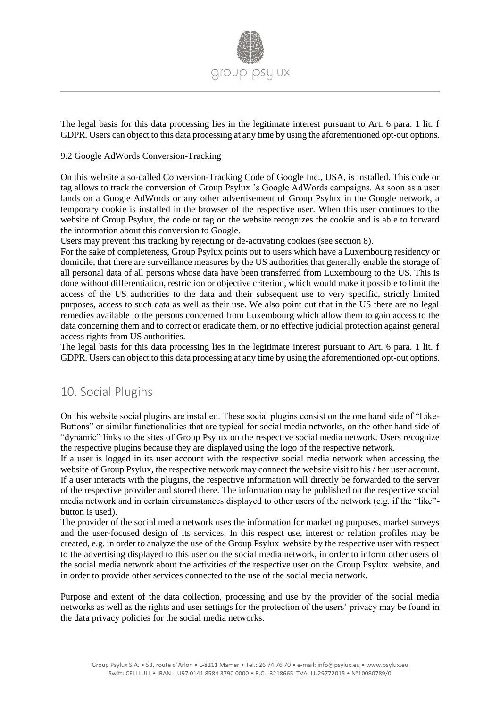

The legal basis for this data processing lies in the legitimate interest pursuant to Art. 6 para. 1 lit. f GDPR. Users can object to this data processing at any time by using the aforementioned opt-out options.

#### 9.2 Google AdWords Conversion-Tracking

On this website a so-called Conversion-Tracking Code of Google Inc., USA, is installed. This code or tag allows to track the conversion of Group Psylux 's Google AdWords campaigns. As soon as a user lands on a Google AdWords or any other advertisement of Group Psylux in the Google network, a temporary cookie is installed in the browser of the respective user. When this user continues to the website of Group Psylux, the code or tag on the website recognizes the cookie and is able to forward the information about this conversion to Google.

Users may prevent this tracking by rejecting or de-activating cookies (see section 8).

For the sake of completeness, Group Psylux points out to users which have a Luxembourg residency or domicile, that there are surveillance measures by the US authorities that generally enable the storage of all personal data of all persons whose data have been transferred from Luxembourg to the US. This is done without differentiation, restriction or objective criterion, which would make it possible to limit the access of the US authorities to the data and their subsequent use to very specific, strictly limited purposes, access to such data as well as their use. We also point out that in the US there are no legal remedies available to the persons concerned from Luxembourg which allow them to gain access to the data concerning them and to correct or eradicate them, or no effective judicial protection against general access rights from US authorities.

The legal basis for this data processing lies in the legitimate interest pursuant to Art. 6 para. 1 lit. f GDPR. Users can object to this data processing at any time by using the aforementioned opt-out options.

### 10. Social Plugins

On this website social plugins are installed. These social plugins consist on the one hand side of "Like-Buttons" or similar functionalities that are typical for social media networks, on the other hand side of "dynamic" links to the sites of Group Psylux on the respective social media network. Users recognize the respective plugins because they are displayed using the logo of the respective network.

If a user is logged in its user account with the respective social media network when accessing the website of Group Psylux, the respective network may connect the website visit to his / her user account. If a user interacts with the plugins, the respective information will directly be forwarded to the server of the respective provider and stored there. The information may be published on the respective social media network and in certain circumstances displayed to other users of the network (e.g. if the "like" button is used).

The provider of the social media network uses the information for marketing purposes, market surveys and the user-focused design of its services. In this respect use, interest or relation profiles may be created, e.g. in order to analyze the use of the Group Psylux website by the respective user with respect to the advertising displayed to this user on the social media network, in order to inform other users of the social media network about the activities of the respective user on the Group Psylux website, and in order to provide other services connected to the use of the social media network.

Purpose and extent of the data collection, processing and use by the provider of the social media networks as well as the rights and user settings for the protection of the users' privacy may be found in the data privacy policies for the social media networks.